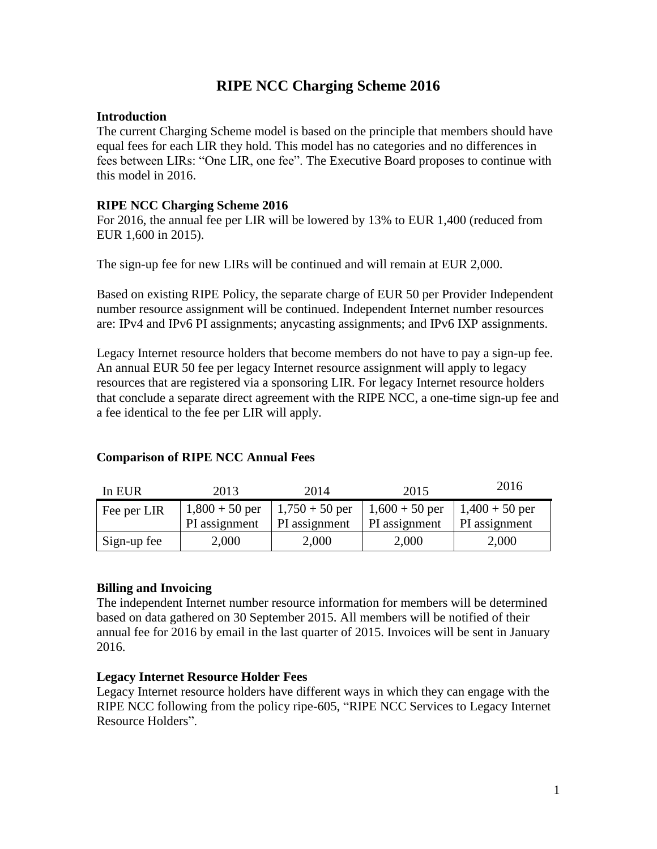## **RIPE NCC Charging Scheme 2016**

### **Introduction**

The current Charging Scheme model is based on the principle that members should have equal fees for each LIR they hold. This model has no categories and no differences in fees between LIRs: "One LIR, one fee". The Executive Board proposes to continue with this model in 2016.

### **RIPE NCC Charging Scheme 2016**

For 2016, the annual fee per LIR will be lowered by 13% to EUR 1,400 (reduced from EUR 1,600 in 2015).

The sign-up fee for new LIRs will be continued and will remain at EUR 2,000.

Based on existing RIPE Policy, the separate charge of EUR 50 per Provider Independent number resource assignment will be continued. Independent Internet number resources are: IPv4 and IPv6 PI assignments; anycasting assignments; and IPv6 IXP assignments.

Legacy Internet resource holders that become members do not have to pay a sign-up fee. An annual EUR 50 fee per legacy Internet resource assignment will apply to legacy resources that are registered via a sponsoring LIR. For legacy Internet resource holders that conclude a separate direct agreement with the RIPE NCC, a one-time sign-up fee and a fee identical to the fee per LIR will apply.

# **Comparison of RIPE NCC Annual Fees**

| In EUR      | 2013          | 2014          | 2015                                                                      | 2016                 |
|-------------|---------------|---------------|---------------------------------------------------------------------------|----------------------|
| Fee per LIR |               |               | $1,800 + 50$ per   $1,750 + 50$ per   $1,600 + 50$ per   $1,400 + 50$ per |                      |
|             | PI assignment | PI assignment | PI assignment                                                             | <b>PI</b> assignment |
| Sign-up fee | 2,000         | 2,000         | 2,000                                                                     | 2,000                |

### **Billing and Invoicing**

The independent Internet number resource information for members will be determined based on data gathered on 30 September 2015. All members will be notified of their annual fee for 2016 by email in the last quarter of 2015. Invoices will be sent in January 2016.

### **Legacy Internet Resource Holder Fees**

Legacy Internet resource holders have different ways in which they can engage with the RIPE NCC following from the policy ripe-605, ["RIPE NCC Services to Legacy Internet](https://www.ripe.net/publications/docs/ripe-605)  [Resource Holders"](https://www.ripe.net/publications/docs/ripe-605).